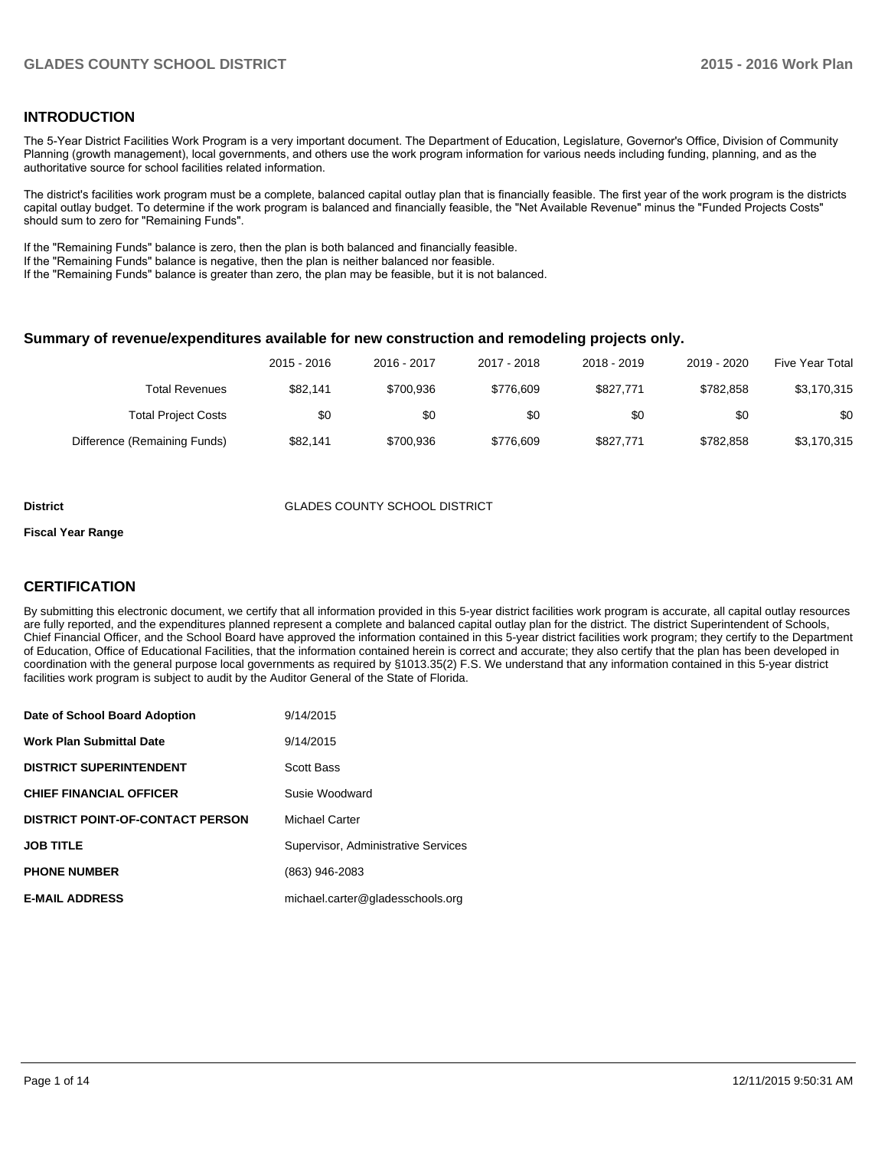## **INTRODUCTION**

The 5-Year District Facilities Work Program is a very important document. The Department of Education, Legislature, Governor's Office, Division of Community Planning (growth management), local governments, and others use the work program information for various needs including funding, planning, and as the authoritative source for school facilities related information.

The district's facilities work program must be a complete, balanced capital outlay plan that is financially feasible. The first year of the work program is the districts capital outlay budget. To determine if the work program is balanced and financially feasible, the "Net Available Revenue" minus the "Funded Projects Costs" should sum to zero for "Remaining Funds".

If the "Remaining Funds" balance is zero, then the plan is both balanced and financially feasible.

If the "Remaining Funds" balance is negative, then the plan is neither balanced nor feasible.

If the "Remaining Funds" balance is greater than zero, the plan may be feasible, but it is not balanced.

## **Summary of revenue/expenditures available for new construction and remodeling projects only.**

| <b>Five Year Total</b> | 2019 - 2020 | 2018 - 2019 | 2017 - 2018 | 2016 - 2017 | 2015 - 2016 |                              |
|------------------------|-------------|-------------|-------------|-------------|-------------|------------------------------|
| \$3,170,315            | \$782.858   | \$827,771   | \$776.609   | \$700.936   | \$82.141    | <b>Total Revenues</b>        |
| \$0                    | \$0         | \$0         | \$0         | \$0         | \$0         | <b>Total Project Costs</b>   |
| \$3,170,315            | \$782.858   | \$827,771   | \$776.609   | \$700.936   | \$82.141    | Difference (Remaining Funds) |

#### **District GLADES COUNTY SCHOOL DISTRICT**

#### **Fiscal Year Range**

## **CERTIFICATION**

By submitting this electronic document, we certify that all information provided in this 5-year district facilities work program is accurate, all capital outlay resources are fully reported, and the expenditures planned represent a complete and balanced capital outlay plan for the district. The district Superintendent of Schools, Chief Financial Officer, and the School Board have approved the information contained in this 5-year district facilities work program; they certify to the Department of Education, Office of Educational Facilities, that the information contained herein is correct and accurate; they also certify that the plan has been developed in coordination with the general purpose local governments as required by §1013.35(2) F.S. We understand that any information contained in this 5-year district facilities work program is subject to audit by the Auditor General of the State of Florida.

| Date of School Board Adoption           | 9/14/2015                           |
|-----------------------------------------|-------------------------------------|
| <b>Work Plan Submittal Date</b>         | 9/14/2015                           |
| <b>DISTRICT SUPERINTENDENT</b>          | <b>Scott Bass</b>                   |
| <b>CHIEF FINANCIAL OFFICER</b>          | Susie Woodward                      |
| <b>DISTRICT POINT-OF-CONTACT PERSON</b> | Michael Carter                      |
| <b>JOB TITLE</b>                        | Supervisor, Administrative Services |
| <b>PHONE NUMBER</b>                     | (863) 946-2083                      |
| <b>E-MAIL ADDRESS</b>                   | michael.carter@gladesschools.org    |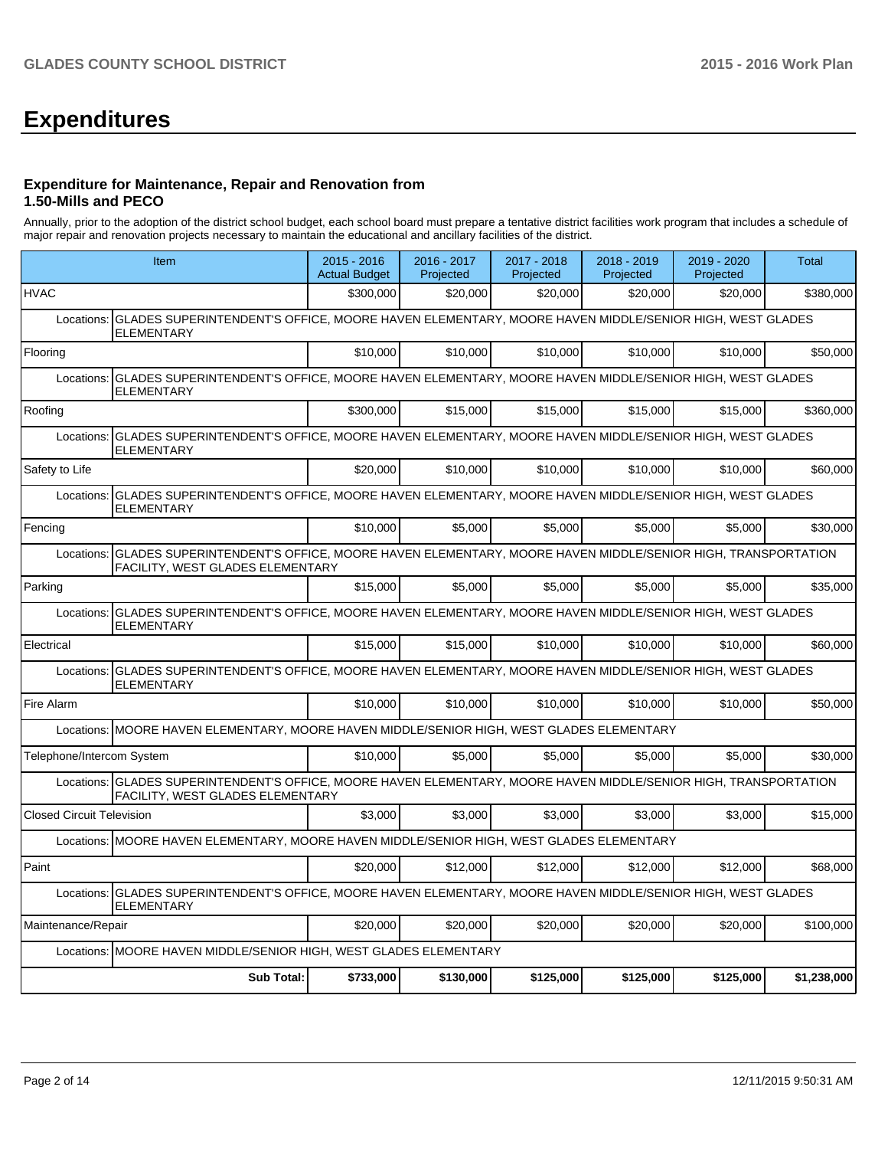# **Expenditures**

## **Expenditure for Maintenance, Repair and Renovation from 1.50-Mills and PECO**

Annually, prior to the adoption of the district school budget, each school board must prepare a tentative district facilities work program that includes a schedule of major repair and renovation projects necessary to maintain the educational and ancillary facilities of the district.

|                                  | Item                                                                                                                                                  | $2015 - 2016$<br><b>Actual Budget</b> | 2016 - 2017<br>Projected | 2017 - 2018<br>Projected | 2018 - 2019<br>Projected | 2019 - 2020<br>Projected | Total       |  |  |  |
|----------------------------------|-------------------------------------------------------------------------------------------------------------------------------------------------------|---------------------------------------|--------------------------|--------------------------|--------------------------|--------------------------|-------------|--|--|--|
| <b>HVAC</b>                      |                                                                                                                                                       | \$300,000                             | \$20,000                 | \$20,000                 | \$20,000                 | \$20,000                 | \$380,000   |  |  |  |
| Locations:                       | GLADES SUPERINTENDENT'S OFFICE, MOORE HAVEN ELEMENTARY, MOORE HAVEN MIDDLE/SENIOR HIGH, WEST GLADES<br><b>ELEMENTARY</b>                              |                                       |                          |                          |                          |                          |             |  |  |  |
| Flooring                         |                                                                                                                                                       | \$10,000                              | \$10,000                 | \$10,000                 | \$10,000                 | \$10,000                 | \$50,000    |  |  |  |
| Locations:                       | GLADES SUPERINTENDENT'S OFFICE, MOORE HAVEN ELEMENTARY, MOORE HAVEN MIDDLE/SENIOR HIGH, WEST GLADES<br><b>ELEMENTARY</b>                              |                                       |                          |                          |                          |                          |             |  |  |  |
| Roofing                          |                                                                                                                                                       | \$300,000                             | \$15,000                 | \$15,000                 | \$15,000                 | \$15,000                 | \$360.000   |  |  |  |
| Locations:                       | GLADES SUPERINTENDENT'S OFFICE, MOORE HAVEN ELEMENTARY, MOORE HAVEN MIDDLE/SENIOR HIGH, WEST GLADES<br><b>ELEMENTARY</b>                              |                                       |                          |                          |                          |                          |             |  |  |  |
| Safety to Life                   |                                                                                                                                                       | \$20,000                              | \$10,000                 | \$10,000                 | \$10,000                 | \$10,000                 | \$60,000    |  |  |  |
| Locations:                       | GLADES SUPERINTENDENT'S OFFICE, MOORE HAVEN ELEMENTARY, MOORE HAVEN MIDDLE/SENIOR HIGH, WEST GLADES<br><b>ELEMENTARY</b>                              |                                       |                          |                          |                          |                          |             |  |  |  |
| Fencing                          |                                                                                                                                                       | \$10,000                              | \$5,000                  | \$5,000                  | \$5,000                  | \$5,000                  | \$30,000    |  |  |  |
| Locations:                       | GLADES SUPERINTENDENT'S OFFICE, MOORE HAVEN ELEMENTARY, MOORE HAVEN MIDDLE/SENIOR HIGH, TRANSPORTATION<br>FACILITY, WEST GLADES ELEMENTARY            |                                       |                          |                          |                          |                          |             |  |  |  |
| Parking                          |                                                                                                                                                       | \$15,000                              | \$5.000                  | \$5.000                  | \$5.000                  | \$5,000                  | \$35,000    |  |  |  |
| Locations:                       | GLADES SUPERINTENDENT'S OFFICE, MOORE HAVEN ELEMENTARY, MOORE HAVEN MIDDLE/SENIOR HIGH, WEST GLADES<br>ELEMENTARY                                     |                                       |                          |                          |                          |                          |             |  |  |  |
| Electrical                       |                                                                                                                                                       | \$15,000                              | \$15,000                 | \$10,000                 | \$10,000                 | \$10,000                 | \$60,000    |  |  |  |
| Locations:                       | GLADES SUPERINTENDENT'S OFFICE, MOORE HAVEN ELEMENTARY, MOORE HAVEN MIDDLE/SENIOR HIGH, WEST GLADES<br><b>ELEMENTARY</b>                              |                                       |                          |                          |                          |                          |             |  |  |  |
| Fire Alarm                       |                                                                                                                                                       | \$10,000                              | \$10,000                 | \$10,000                 | \$10,000                 | \$10,000                 | \$50,000    |  |  |  |
|                                  | Locations: MOORE HAVEN ELEMENTARY, MOORE HAVEN MIDDLE/SENIOR HIGH, WEST GLADES ELEMENTARY                                                             |                                       |                          |                          |                          |                          |             |  |  |  |
| Telephone/Intercom System        |                                                                                                                                                       | \$10,000                              | \$5,000                  | \$5,000                  | \$5,000                  | \$5,000                  | \$30,000    |  |  |  |
|                                  | Locations: GLADES SUPERINTENDENT'S OFFICE, MOORE HAVEN ELEMENTARY, MOORE HAVEN MIDDLE/SENIOR HIGH, TRANSPORTATION<br>FACILITY, WEST GLADES ELEMENTARY |                                       |                          |                          |                          |                          |             |  |  |  |
| <b>Closed Circuit Television</b> |                                                                                                                                                       | \$3.000                               | \$3.000                  | \$3.000                  | \$3.000                  | \$3.000                  | \$15,000    |  |  |  |
|                                  | Locations: MOORE HAVEN ELEMENTARY, MOORE HAVEN MIDDLE/SENIOR HIGH, WEST GLADES ELEMENTARY                                                             |                                       |                          |                          |                          |                          |             |  |  |  |
| Paint                            |                                                                                                                                                       | \$20,000                              | \$12,000                 | \$12,000                 | \$12,000                 | \$12,000                 | \$68,000    |  |  |  |
| Locations:                       | GLADES SUPERINTENDENT'S OFFICE, MOORE HAVEN ELEMENTARY, MOORE HAVEN MIDDLE/SENIOR HIGH, WEST GLADES<br><b>ELEMENTARY</b>                              |                                       |                          |                          |                          |                          |             |  |  |  |
| Maintenance/Repair               |                                                                                                                                                       | \$20,000                              | \$20,000                 | \$20,000                 | \$20,000                 | \$20,000                 | \$100.000   |  |  |  |
| Locations:                       | MOORE HAVEN MIDDLE/SENIOR HIGH, WEST GLADES ELEMENTARY                                                                                                |                                       |                          |                          |                          |                          |             |  |  |  |
|                                  | <b>Sub Total:</b>                                                                                                                                     | \$733,000                             | \$130,000                | \$125,000                | \$125,000                | \$125,000                | \$1,238,000 |  |  |  |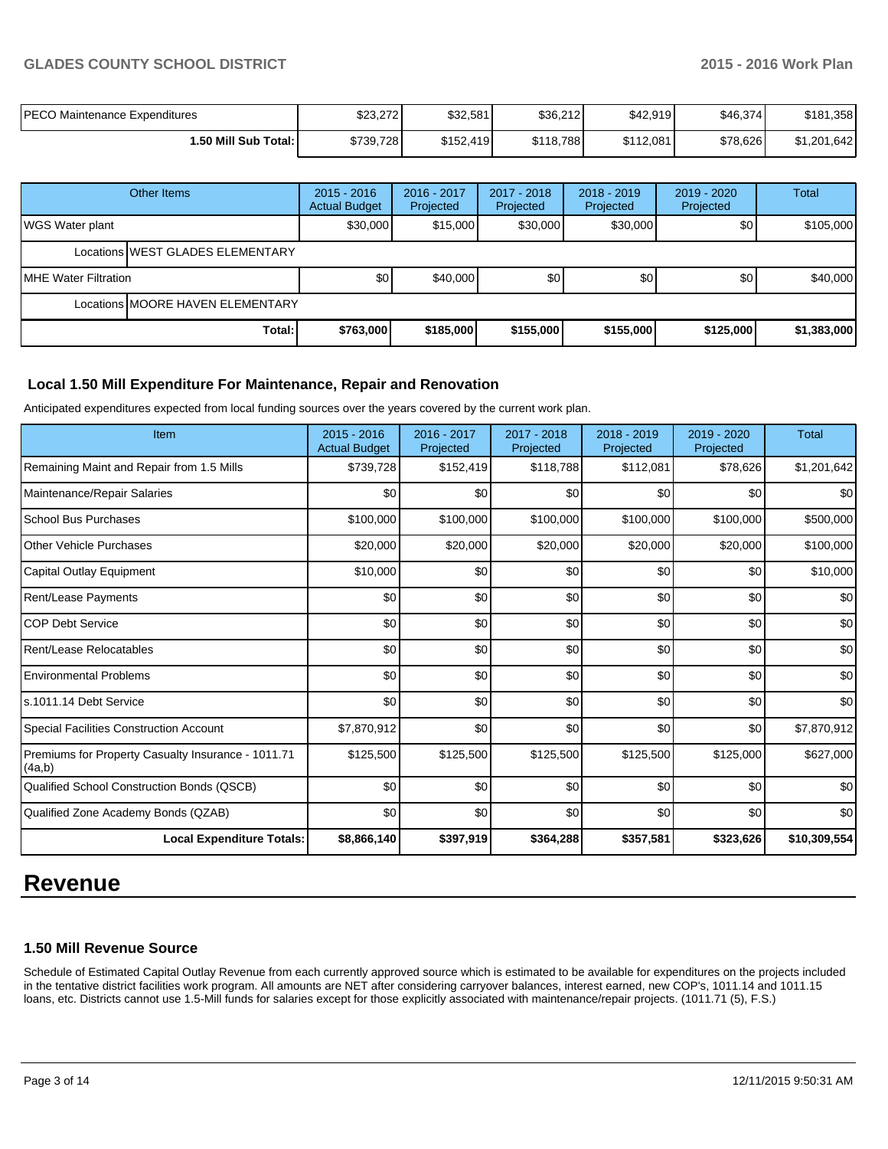## **GLADES COUNTY SCHOOL DISTRICT 2015 - 2016 Work Plan**

| <b>PECO Maintenance Expenditures</b> | \$23,272  | \$32,581  | \$36,212  | \$42,919  | \$46,374 | .358<br>\$181 |
|--------------------------------------|-----------|-----------|-----------|-----------|----------|---------------|
| 1.50 Mill Sub Total: I               | \$739,728 | \$152,419 | \$118,788 | \$112,081 | \$78,626 | \$1,201,642   |

|                        | Other Items                      | $2015 - 2016$<br><b>Actual Budget</b> | 2016 - 2017<br>Projected | 2017 - 2018<br>Projected | $2018 - 2019$<br>Projected | $2019 - 2020$<br>Projected | <b>Total</b> |  |
|------------------------|----------------------------------|---------------------------------------|--------------------------|--------------------------|----------------------------|----------------------------|--------------|--|
| <b>WGS Water plant</b> |                                  | \$30.000                              | \$15,000                 | \$30,000                 | \$30,000                   | \$0                        | \$105,000    |  |
|                        | Locations WEST GLADES ELEMENTARY |                                       |                          |                          |                            |                            |              |  |
| IMHE Water Filtration  |                                  | \$0 <sub>1</sub>                      | \$40,000                 | \$0                      | \$0 <sub>1</sub>           | \$0                        | \$40,000     |  |
|                        | Locations MOORE HAVEN ELEMENTARY |                                       |                          |                          |                            |                            |              |  |
|                        | Total:                           | \$763,000                             | \$185,000                | \$155,000                | \$155,000                  | \$125,000                  | \$1,383,000  |  |

## **Local 1.50 Mill Expenditure For Maintenance, Repair and Renovation**

Anticipated expenditures expected from local funding sources over the years covered by the current work plan.

| Item                                                         | 2015 - 2016<br><b>Actual Budget</b> | 2016 - 2017<br>Projected | 2017 - 2018<br>Projected | 2018 - 2019<br>Projected | $2019 - 2020$<br>Projected | <b>Total</b> |
|--------------------------------------------------------------|-------------------------------------|--------------------------|--------------------------|--------------------------|----------------------------|--------------|
| Remaining Maint and Repair from 1.5 Mills                    | \$739,728                           | \$152,419                | \$118,788                | \$112,081                | \$78,626                   | \$1,201,642  |
| Maintenance/Repair Salaries                                  | \$0                                 | \$0                      | \$0                      | \$0                      | \$0                        | \$0          |
| School Bus Purchases                                         | \$100,000                           | \$100,000                | \$100,000                | \$100,000                | \$100,000                  | \$500,000    |
| <b>Other Vehicle Purchases</b>                               | \$20,000                            | \$20,000                 | \$20,000                 | \$20,000                 | \$20,000                   | \$100,000    |
| Capital Outlay Equipment                                     | \$10,000                            | \$0                      | \$0                      | \$0                      | \$0                        | \$10,000     |
| <b>Rent/Lease Payments</b>                                   | \$0                                 | \$0                      | \$0                      | \$0                      | \$0                        | \$0          |
| <b>COP Debt Service</b>                                      | \$0                                 | \$0                      | \$0                      | \$0                      | \$0                        | \$0          |
| Rent/Lease Relocatables                                      | \$0                                 | \$0                      | \$0                      | \$0                      | \$0                        | \$0          |
| <b>Environmental Problems</b>                                | \$0                                 | \$0                      | \$0                      | \$0                      | \$0                        | \$0          |
| s.1011.14 Debt Service                                       | \$0                                 | \$0                      | \$0                      | \$0                      | \$0                        | \$0          |
| Special Facilities Construction Account                      | \$7,870,912                         | \$0                      | \$0                      | \$0                      | \$0                        | \$7,870,912  |
| Premiums for Property Casualty Insurance - 1011.71<br>(4a,b) | \$125,500                           | \$125,500                | \$125,500                | \$125,500                | \$125,000                  | \$627,000    |
| Qualified School Construction Bonds (QSCB)                   | \$0                                 | \$0                      | \$0                      | \$0                      | \$0                        | \$0          |
| Qualified Zone Academy Bonds (QZAB)                          | \$0                                 | \$0                      | \$0                      | \$0                      | \$0                        | \$0          |
| <b>Local Expenditure Totals:</b>                             | \$8,866,140                         | \$397,919                | \$364,288                | \$357,581                | \$323,626                  | \$10,309,554 |

## **Revenue**

## **1.50 Mill Revenue Source**

Schedule of Estimated Capital Outlay Revenue from each currently approved source which is estimated to be available for expenditures on the projects included in the tentative district facilities work program. All amounts are NET after considering carryover balances, interest earned, new COP's, 1011.14 and 1011.15 loans, etc. Districts cannot use 1.5-Mill funds for salaries except for those explicitly associated with maintenance/repair projects. (1011.71 (5), F.S.)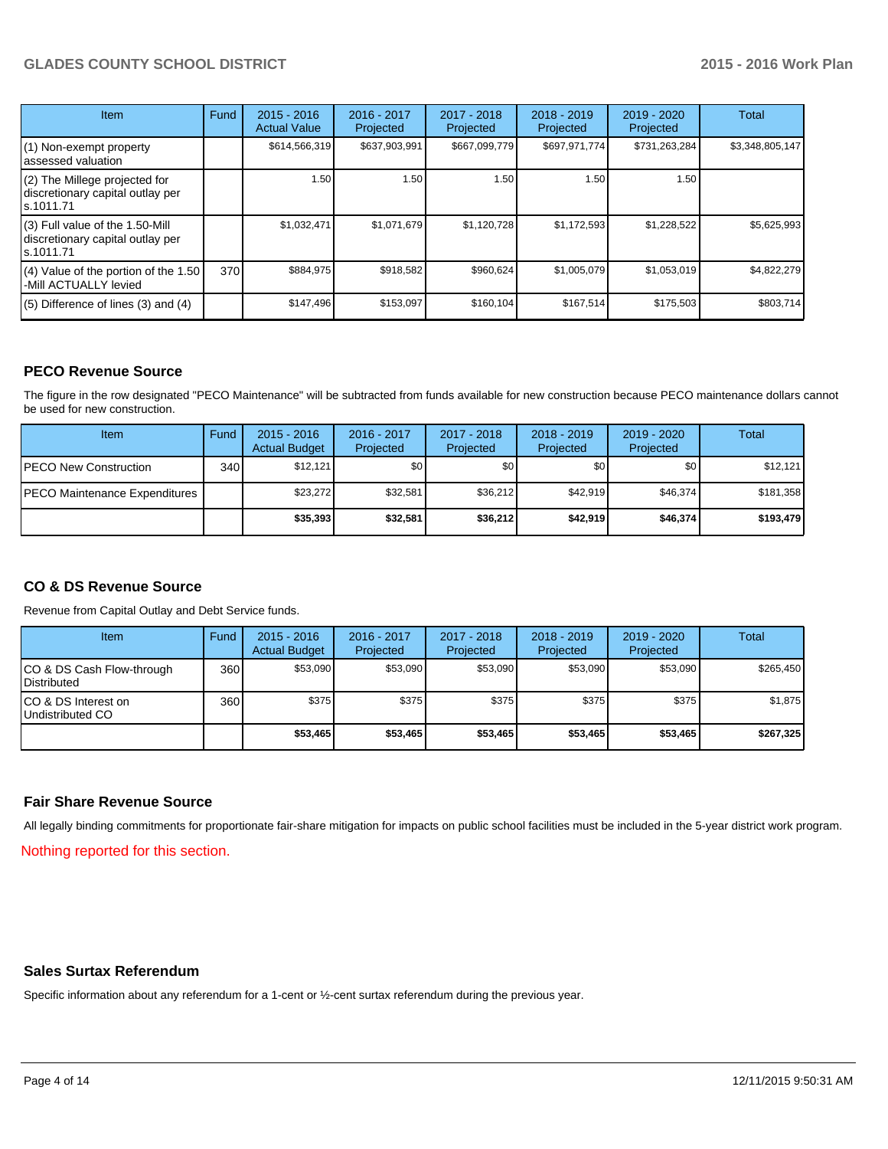## **GLADES COUNTY SCHOOL DISTRICT 2015 - 2016 Work Plan**

| <b>Item</b>                                                                       | Fund | $2015 - 2016$<br><b>Actual Value</b> | 2016 - 2017<br>Projected | $2017 - 2018$<br>Projected | $2018 - 2019$<br>Projected | 2019 - 2020<br>Projected | Total           |
|-----------------------------------------------------------------------------------|------|--------------------------------------|--------------------------|----------------------------|----------------------------|--------------------------|-----------------|
| (1) Non-exempt property<br>lassessed valuation                                    |      | \$614,566,319                        | \$637,903,991            | \$667,099,779              | \$697,971,774              | \$731,263,284            | \$3,348,805,147 |
| (2) The Millege projected for<br>discretionary capital outlay per<br>ls.1011.71   |      | 1.50                                 | 1.50                     | 1.50                       | 1.50                       | 1.50                     |                 |
| (3) Full value of the 1.50-Mill<br>discretionary capital outlay per<br>ls.1011.71 |      | \$1,032,471                          | \$1,071,679              | \$1,120,728                | \$1,172,593                | \$1,228,522              | \$5,625,993     |
| (4) Value of the portion of the 1.50<br>-Mill ACTUALLY levied                     | 370  | \$884,975                            | \$918,582                | \$960,624                  | \$1,005,079                | \$1,053,019              | \$4,822,279     |
| $(5)$ Difference of lines $(3)$ and $(4)$                                         |      | \$147,496                            | \$153,097                | \$160,104                  | \$167,514                  | \$175,503                | \$803,714       |

## **PECO Revenue Source**

The figure in the row designated "PECO Maintenance" will be subtracted from funds available for new construction because PECO maintenance dollars cannot be used for new construction.

| Item                                  | Fund | $2015 - 2016$<br><b>Actual Budget</b> | 2016 - 2017<br>Projected | $2017 - 2018$<br>Projected | $2018 - 2019$<br>Projected | $2019 - 2020$<br>Projected | Total     |
|---------------------------------------|------|---------------------------------------|--------------------------|----------------------------|----------------------------|----------------------------|-----------|
| <b>IPECO New Construction</b>         | 340  | \$12.121                              | \$0                      | \$0                        | \$٥Ι                       | \$0                        | \$12,121  |
| <b>IPECO Maintenance Expenditures</b> |      | \$23,272                              | \$32,581                 | \$36.212                   | \$42.919                   | \$46,374                   | \$181,358 |
|                                       |      | \$35,393                              | \$32,581                 | \$36,212                   | \$42.919                   | \$46,374                   | \$193.479 |

## **CO & DS Revenue Source**

Revenue from Capital Outlay and Debt Service funds.

| <b>Item</b>                                        | Fund | $2015 - 2016$<br><b>Actual Budget</b> | 2016 - 2017<br>Projected | 2017 - 2018<br>Projected | $2018 - 2019$<br>Projected | 2019 - 2020<br>Projected | Total     |
|----------------------------------------------------|------|---------------------------------------|--------------------------|--------------------------|----------------------------|--------------------------|-----------|
| ICO & DS Cash Flow-through<br><b>I</b> Distributed | 360  | \$53,090                              | \$53,090                 | \$53.090                 | \$53,090                   | \$53,090                 | \$265,450 |
| ICO & DS Interest on<br>Undistributed CO           | 360  | \$375                                 | \$375                    | \$375                    | \$375                      | \$375                    | \$1,875   |
|                                                    |      | \$53,465                              | \$53.465                 | \$53,465                 | \$53,465                   | \$53,465                 | \$267,325 |

## **Fair Share Revenue Source**

All legally binding commitments for proportionate fair-share mitigation for impacts on public school facilities must be included in the 5-year district work program.

Nothing reported for this section.

## **Sales Surtax Referendum**

Specific information about any referendum for a 1-cent or ½-cent surtax referendum during the previous year.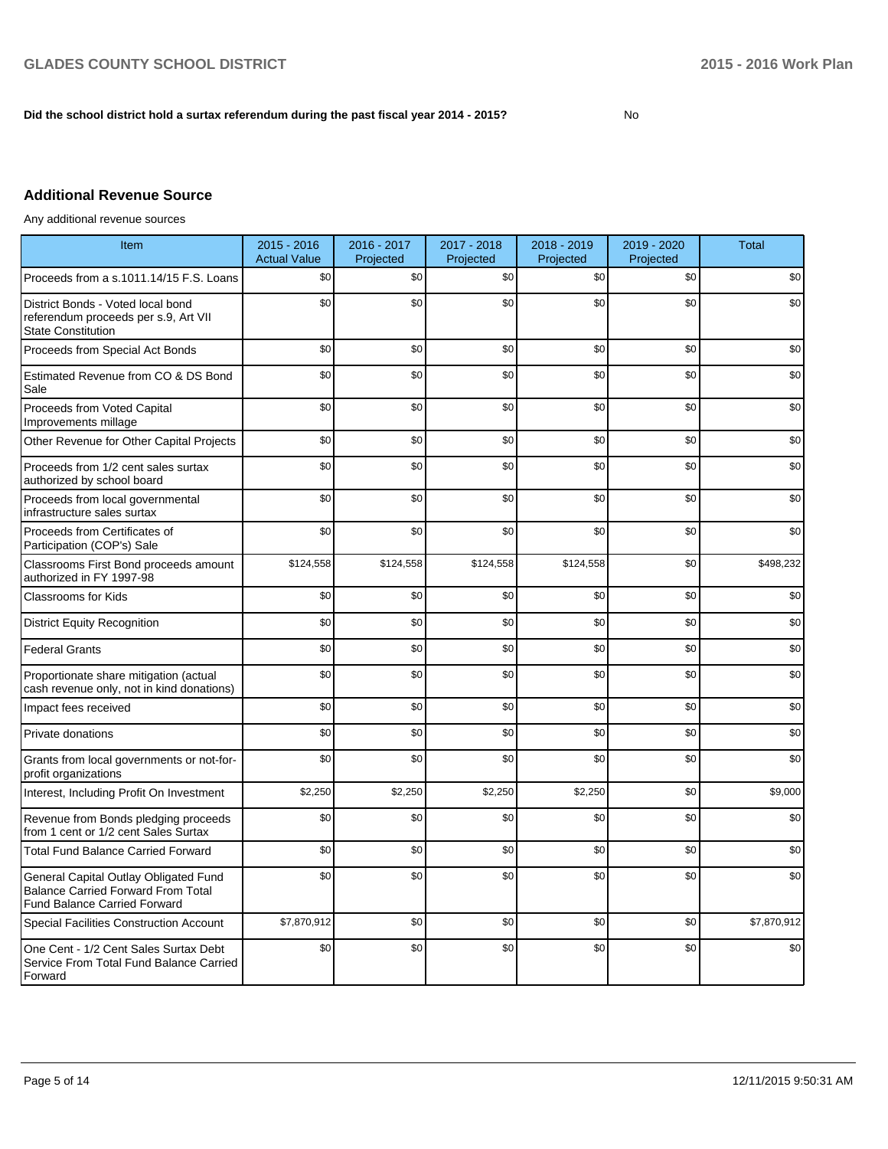## **Did the school district hold a surtax referendum during the past fiscal year 2014 - 2015?**

No

## **Additional Revenue Source**

Any additional revenue sources

| Item                                                                                                                      | 2015 - 2016<br><b>Actual Value</b> | 2016 - 2017<br>Projected | 2017 - 2018<br>Projected | 2018 - 2019<br>Projected | 2019 - 2020<br>Projected | <b>Total</b> |
|---------------------------------------------------------------------------------------------------------------------------|------------------------------------|--------------------------|--------------------------|--------------------------|--------------------------|--------------|
| Proceeds from a s.1011.14/15 F.S. Loans                                                                                   | \$0                                | \$0                      | \$0                      | \$0                      | \$0                      | \$0          |
| District Bonds - Voted local bond<br>referendum proceeds per s.9, Art VII<br><b>State Constitution</b>                    | \$0                                | \$0                      | \$0                      | \$0                      | \$0                      | \$0          |
| Proceeds from Special Act Bonds                                                                                           | \$0                                | \$0                      | \$0                      | \$0                      | \$0                      | \$0          |
| Estimated Revenue from CO & DS Bond<br>Sale                                                                               | \$0                                | \$0                      | \$0                      | \$0                      | \$0                      | \$0          |
| Proceeds from Voted Capital<br>Improvements millage                                                                       | \$0                                | \$0                      | \$0                      | \$0                      | \$0                      | \$0          |
| Other Revenue for Other Capital Projects                                                                                  | \$0                                | \$0                      | \$0                      | \$0                      | \$0                      | \$0          |
| Proceeds from 1/2 cent sales surtax<br>authorized by school board                                                         | \$0                                | \$0                      | \$0                      | \$0                      | \$0                      | \$0          |
| Proceeds from local governmental<br>infrastructure sales surtax                                                           | \$0                                | \$0                      | \$0                      | \$0                      | \$0                      | \$0          |
| Proceeds from Certificates of<br>Participation (COP's) Sale                                                               | \$0                                | \$0                      | \$0                      | \$0                      | \$0                      | \$0          |
| Classrooms First Bond proceeds amount<br>authorized in FY 1997-98                                                         | \$124,558                          | \$124,558                | \$124,558                | \$124,558                | \$0                      | \$498,232    |
| <b>Classrooms for Kids</b>                                                                                                | \$0                                | \$0                      | \$0                      | \$0                      | \$0                      | \$0          |
| <b>District Equity Recognition</b>                                                                                        | \$0                                | \$0                      | \$0                      | \$0                      | \$0                      | \$0          |
| <b>Federal Grants</b>                                                                                                     | \$0                                | \$0                      | \$0                      | \$0                      | \$0                      | \$0          |
| Proportionate share mitigation (actual<br>cash revenue only, not in kind donations)                                       | \$0                                | \$0                      | \$0                      | \$0                      | \$0                      | \$0          |
| Impact fees received                                                                                                      | \$0                                | \$0                      | \$0                      | \$0                      | \$0                      | \$0          |
| Private donations                                                                                                         | \$0                                | \$0                      | \$0                      | \$0                      | \$0                      | \$0          |
| Grants from local governments or not-for-<br>profit organizations                                                         | \$0                                | \$0                      | \$0                      | \$0                      | \$0                      | \$0          |
| Interest, Including Profit On Investment                                                                                  | \$2,250                            | \$2,250                  | \$2,250                  | \$2,250                  | \$0                      | \$9,000      |
| Revenue from Bonds pledging proceeds<br>from 1 cent or 1/2 cent Sales Surtax                                              | \$0                                | \$0                      | \$0                      | \$0                      | \$0                      | \$0          |
| <b>Total Fund Balance Carried Forward</b>                                                                                 | \$0                                | \$0                      | \$0                      | \$0                      | \$0                      | \$0          |
| General Capital Outlay Obligated Fund<br><b>Balance Carried Forward From Total</b><br><b>Fund Balance Carried Forward</b> | \$0                                | \$0                      | \$0                      | \$0                      | \$0                      | \$0          |
| <b>Special Facilities Construction Account</b>                                                                            | \$7,870,912                        | \$0                      | \$0                      | \$0                      | \$0                      | \$7,870,912  |
| One Cent - 1/2 Cent Sales Surtax Debt<br>Service From Total Fund Balance Carried<br>Forward                               | \$0                                | \$0                      | \$0                      | \$0                      | \$0                      | \$0          |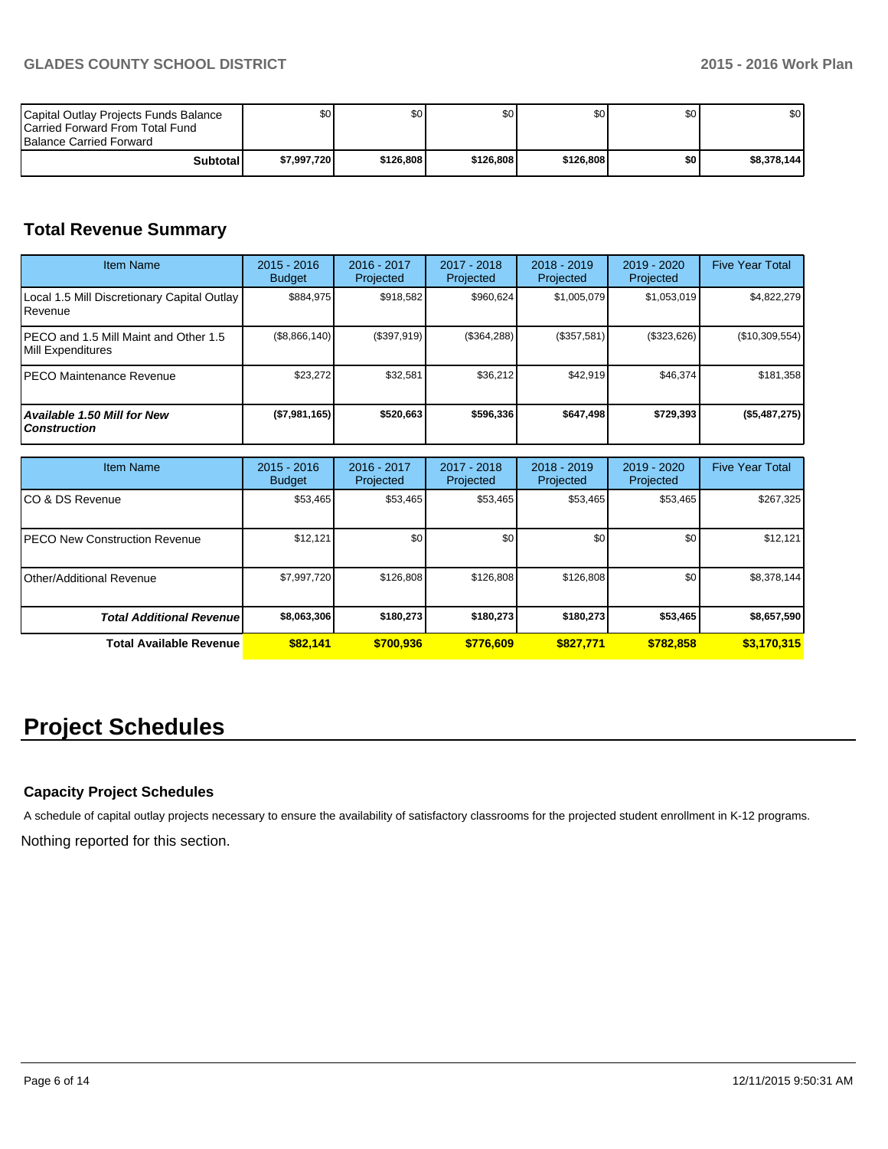| Capital Outlay Projects Funds Balance<br><b>ICarried Forward From Total Fund</b><br><b>Balance Carried Forward</b> | \$0 I       | ا 30      | \$0       | \$OI      | \$0 | \$0         |
|--------------------------------------------------------------------------------------------------------------------|-------------|-----------|-----------|-----------|-----|-------------|
| Subtotall                                                                                                          | \$7.997.720 | \$126,808 | \$126,808 | \$126,808 | \$0 | \$8.378.144 |

## **Total Revenue Summary**

| <b>Item Name</b>                                            | $2015 - 2016$<br><b>Budget</b> | $2016 - 2017$<br>Projected | $2017 - 2018$<br>Projected | $2018 - 2019$<br>Projected | $2019 - 2020$<br>Projected | <b>Five Year Total</b> |
|-------------------------------------------------------------|--------------------------------|----------------------------|----------------------------|----------------------------|----------------------------|------------------------|
| Local 1.5 Mill Discretionary Capital Outlay<br>Revenue      | \$884.975                      | \$918.582                  | \$960.624                  | \$1,005,079                | \$1,053,019                | \$4,822,279            |
| IPECO and 1.5 Mill Maint and Other 1.5<br>Mill Expenditures | (\$8,866,140)                  | (\$397,919)                | (\$364,288)                | (\$357,581)                | (\$323,626)                | (\$10,309,554)         |
| IPECO Maintenance Revenue                                   | \$23,272                       | \$32,581                   | \$36.212                   | \$42.919                   | \$46,374                   | \$181,358              |
| Available 1.50 Mill for New<br><b>Construction</b>          | (\$7,981,165)                  | \$520,663                  | \$596.336                  | \$647,498                  | \$729,393                  | (\$5,487,275)          |

| <b>Item Name</b>                 | $2015 - 2016$<br><b>Budget</b> | 2016 - 2017<br>Projected | 2017 - 2018<br>Projected | $2018 - 2019$<br>Projected | $2019 - 2020$<br>Projected | <b>Five Year Total</b> |
|----------------------------------|--------------------------------|--------------------------|--------------------------|----------------------------|----------------------------|------------------------|
| ICO & DS Revenue                 | \$53,465                       | \$53,465                 | \$53,465                 | \$53,465                   | \$53,465                   | \$267,325              |
| IPECO New Construction Revenue   | \$12,121                       | \$0                      | \$0                      | \$0 <sub>1</sub>           | \$0                        | \$12,121               |
| <b>IOther/Additional Revenue</b> | \$7,997,720                    | \$126,808                | \$126.808                | \$126,808                  | \$0                        | \$8,378,144            |
| <b>Total Additional Revenuel</b> | \$8,063,306                    | \$180,273                | \$180.273                | \$180.273                  | \$53,465                   | \$8,657,590            |
| Total Available Revenue          | \$82.141                       | \$700.936                | \$776.609                | \$827.771                  | \$782,858                  | \$3,170,315            |

# **Project Schedules**

## **Capacity Project Schedules**

A schedule of capital outlay projects necessary to ensure the availability of satisfactory classrooms for the projected student enrollment in K-12 programs.

Nothing reported for this section.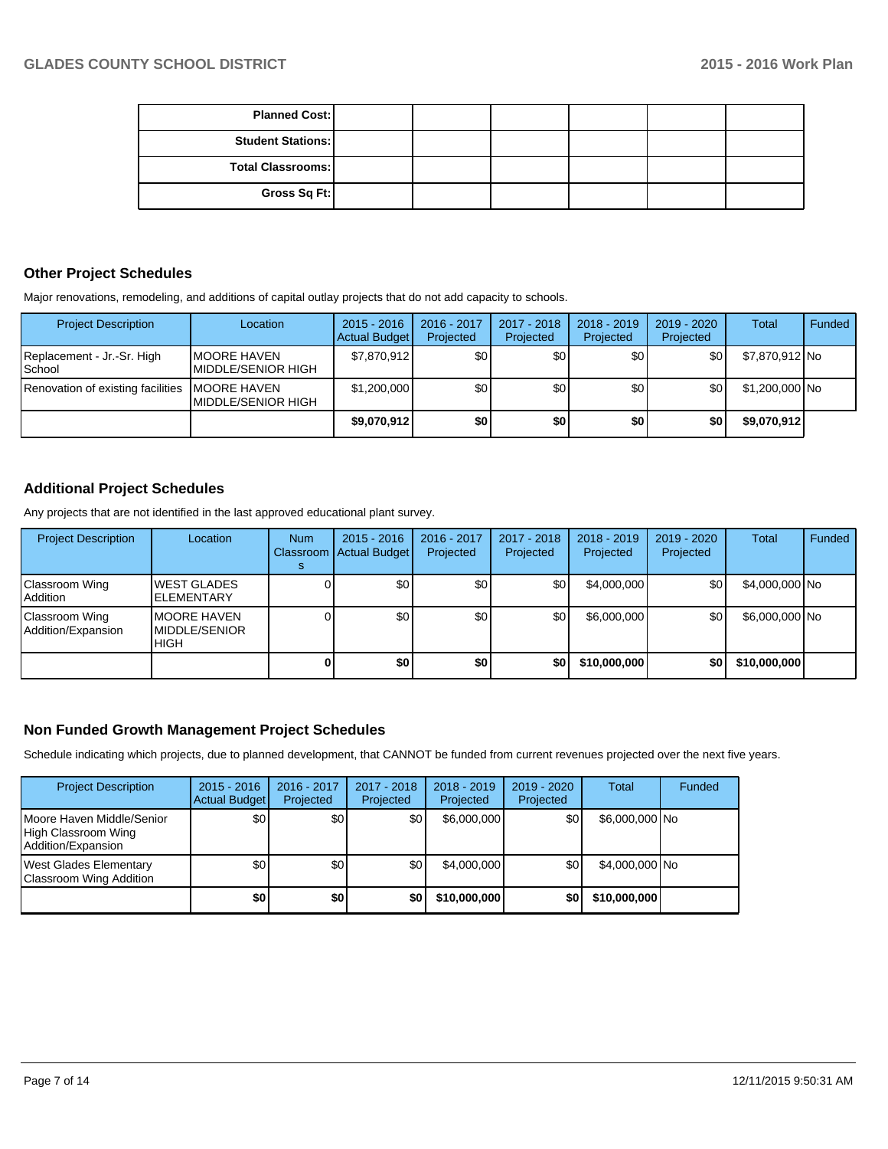| <b>Planned Cost:</b>     |  |  |  |
|--------------------------|--|--|--|
| <b>Student Stations:</b> |  |  |  |
| <b>Total Classrooms:</b> |  |  |  |
| Gross Sq Ft:             |  |  |  |

## **Other Project Schedules**

Major renovations, remodeling, and additions of capital outlay projects that do not add capacity to schools.

| <b>Project Description</b>           | Location                                          | $2015 - 2016$<br>Actual Budget | 2016 - 2017<br>Projected | 2017 - 2018<br>Projected | $2018 - 2019$<br>Projected | 2019 - 2020<br>Projected | Total          | Funded |
|--------------------------------------|---------------------------------------------------|--------------------------------|--------------------------|--------------------------|----------------------------|--------------------------|----------------|--------|
| Replacement - Jr.-Sr. High<br>School | IMOORE HAVEN<br>IMIDDLE/SENIOR HIGH               | \$7,870,912                    | \$0 <sub>l</sub>         | \$٥Ι                     | ا 30                       | \$0                      | \$7,870,912 No |        |
| Renovation of existing facilities    | <b>IMOORE HAVEN</b><br><b>IMIDDLE/SENIOR HIGH</b> | \$1,200,000                    | \$0 <sub>1</sub>         | \$0 <sub>1</sub>         | \$0                        | \$0                      | \$1,200,000 No |        |
|                                      |                                                   | \$9,070,912                    | \$0                      | \$0                      | \$0                        | \$0                      | \$9,070,912    |        |

## **Additional Project Schedules**

Any projects that are not identified in the last approved educational plant survey.

| <b>Project Description</b>           | Location                                            | <b>Num</b> | $2015 - 2016$<br>Classroom   Actual Budget | 2016 - 2017<br>Projected | 2017 - 2018<br>Projected | $2018 - 2019$<br>Projected | $2019 - 2020$<br>Projected | Total          | Funded |
|--------------------------------------|-----------------------------------------------------|------------|--------------------------------------------|--------------------------|--------------------------|----------------------------|----------------------------|----------------|--------|
| Classroom Wing<br><b>Addition</b>    | <b>WEST GLADES</b><br><b>ELEMENTARY</b>             |            | \$0 <sub>1</sub>                           | \$0                      | \$0                      | \$4,000,000                | \$٥Ι                       | \$4,000,000 No |        |
| Classroom Wing<br>Addition/Expansion | <b>IMOORE HAVEN</b><br>MIDDLE/SENIOR<br><b>HIGH</b> |            | \$0                                        | \$0                      | \$0                      | \$6,000,000                | \$0                        | \$6,000,000 No |        |
|                                      |                                                     |            | \$0                                        | \$0                      | \$0                      | \$10,000,000               | \$0 I                      | \$10,000,000   |        |

## **Non Funded Growth Management Project Schedules**

Schedule indicating which projects, due to planned development, that CANNOT be funded from current revenues projected over the next five years.

| <b>Project Description</b>                                             | $2015 - 2016$<br><b>Actual Budget</b> | 2016 - 2017<br>Projected | 2017 - 2018<br>Projected | $2018 - 2019$<br>Projected | $2019 - 2020$<br>Projected | Total          | Funded |
|------------------------------------------------------------------------|---------------------------------------|--------------------------|--------------------------|----------------------------|----------------------------|----------------|--------|
| Moore Haven Middle/Senior<br>High Classroom Wing<br>Addition/Expansion | \$0                                   | \$0                      | \$0                      | \$6,000,000                | \$0                        | \$6,000,000 No |        |
| West Glades Elementary<br>Classroom Wing Addition                      | \$0                                   | \$0                      | \$0                      | \$4,000,000                | \$0                        | \$4.000,000 No |        |
|                                                                        | \$0                                   | \$0                      | \$0                      | \$10,000,000               | \$0                        | \$10,000,000   |        |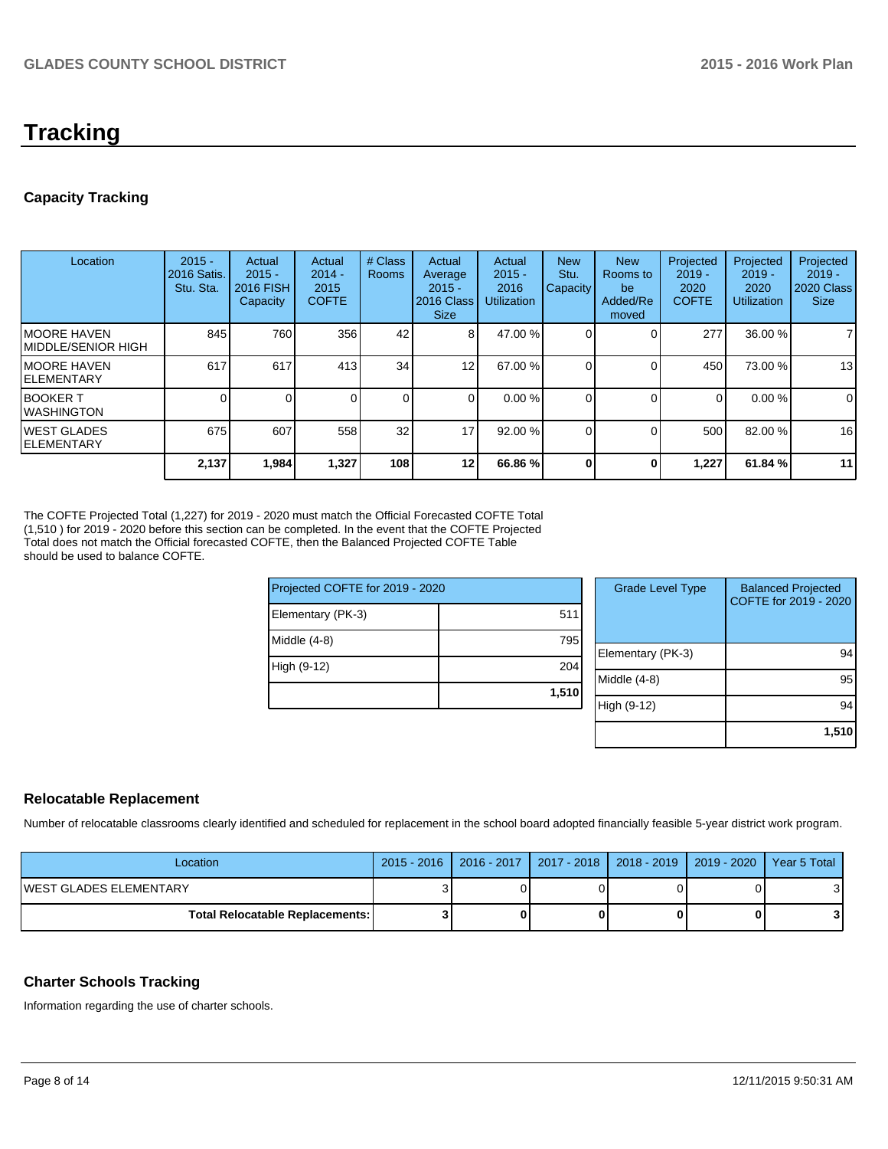## **Tracking**

## **Capacity Tracking**

| Location                            | $2015 -$<br>2016 Satis.<br>Stu. Sta. | Actual<br>$2015 -$<br><b>2016 FISH</b><br>Capacity | Actual<br>$2014 -$<br>2015<br><b>COFTE</b> | # Class<br><b>Rooms</b> | Actual<br>Average<br>$2015 -$<br>2016 Class<br><b>Size</b> | Actual<br>$2015 -$<br>2016<br><b>Utilization</b> | <b>New</b><br>Stu.<br>Capacity | <b>New</b><br>Rooms to<br>be<br>Added/Re<br>moved | Projected<br>$2019 -$<br>2020<br><b>COFTE</b> | Projected<br>$2019 -$<br>2020<br><b>Utilization</b> | Projected<br>$2019 -$<br><b>2020 Class</b><br><b>Size</b> |
|-------------------------------------|--------------------------------------|----------------------------------------------------|--------------------------------------------|-------------------------|------------------------------------------------------------|--------------------------------------------------|--------------------------------|---------------------------------------------------|-----------------------------------------------|-----------------------------------------------------|-----------------------------------------------------------|
| IMOORE HAVEN<br>IMIDDLE/SENIOR HIGH | 845                                  | 760                                                | 356                                        | 42                      | 81                                                         | 47.00 %                                          |                                |                                                   | 277                                           | 36.00 %                                             |                                                           |
| IMOORE HAVEN<br>IELEMENTARY         | 617                                  | 617                                                | 413                                        | 34                      | 12                                                         | 67.00 %                                          |                                |                                                   | 450                                           | 73.00 %                                             | 13                                                        |
| IBOOKER T<br>IWASHINGTON            |                                      |                                                    |                                            | 0                       | $\Omega$                                                   | 0.00%                                            |                                |                                                   | $\Omega$                                      | 0.00 %                                              | $\overline{0}$                                            |
| <b>IWEST GLADES</b><br>IELEMENTARY  | 675                                  | 607                                                | 558                                        | 32                      | 17                                                         | $92.00\%$                                        |                                |                                                   | 500                                           | 82.00 %                                             | 16                                                        |
|                                     | 2,137                                | 1,984                                              | 1,327                                      | 108                     | 12                                                         | 66.86 %                                          | <sup>0</sup>                   | 0                                                 | 1,227                                         | 61.84 %                                             | 11                                                        |

The COFTE Projected Total (1,227) for 2019 - 2020 must match the Official Forecasted COFTE Total (1,510 ) for 2019 - 2020 before this section can be completed. In the event that the COFTE Projected Total does not match the Official forecasted COFTE, then the Balanced Projected COFTE Table should be used to balance COFTE.

| Projected COFTE for 2019 - 2020 |       |             |  |  |  |
|---------------------------------|-------|-------------|--|--|--|
| Elementary (PK-3)               | 511   |             |  |  |  |
| Middle (4-8)                    | 795   | Elem        |  |  |  |
| High (9-12)                     | 204   | Midd        |  |  |  |
|                                 | 1,510 | <b>ligh</b> |  |  |  |

| <b>Grade Level Type</b> | <b>Balanced Projected</b><br>COFTE for 2019 - 2020 |
|-------------------------|----------------------------------------------------|
| Elementary (PK-3)       | 94                                                 |
| Middle (4-8)            | 95                                                 |
| High (9-12)             | 94                                                 |
|                         | 1,510                                              |

## **Relocatable Replacement**

Number of relocatable classrooms clearly identified and scheduled for replacement in the school board adopted financially feasible 5-year district work program.

| Location                                 |  |  | 2015 - 2016   2016 - 2017   2017 - 2018   2018 - 2019   2019 - 2020   Year 5 Total |  |
|------------------------------------------|--|--|------------------------------------------------------------------------------------|--|
| <b>IWEST GLADES ELEMENTARY</b>           |  |  |                                                                                    |  |
| <b>Total Relocatable Replacements: I</b> |  |  |                                                                                    |  |

## **Charter Schools Tracking**

Information regarding the use of charter schools.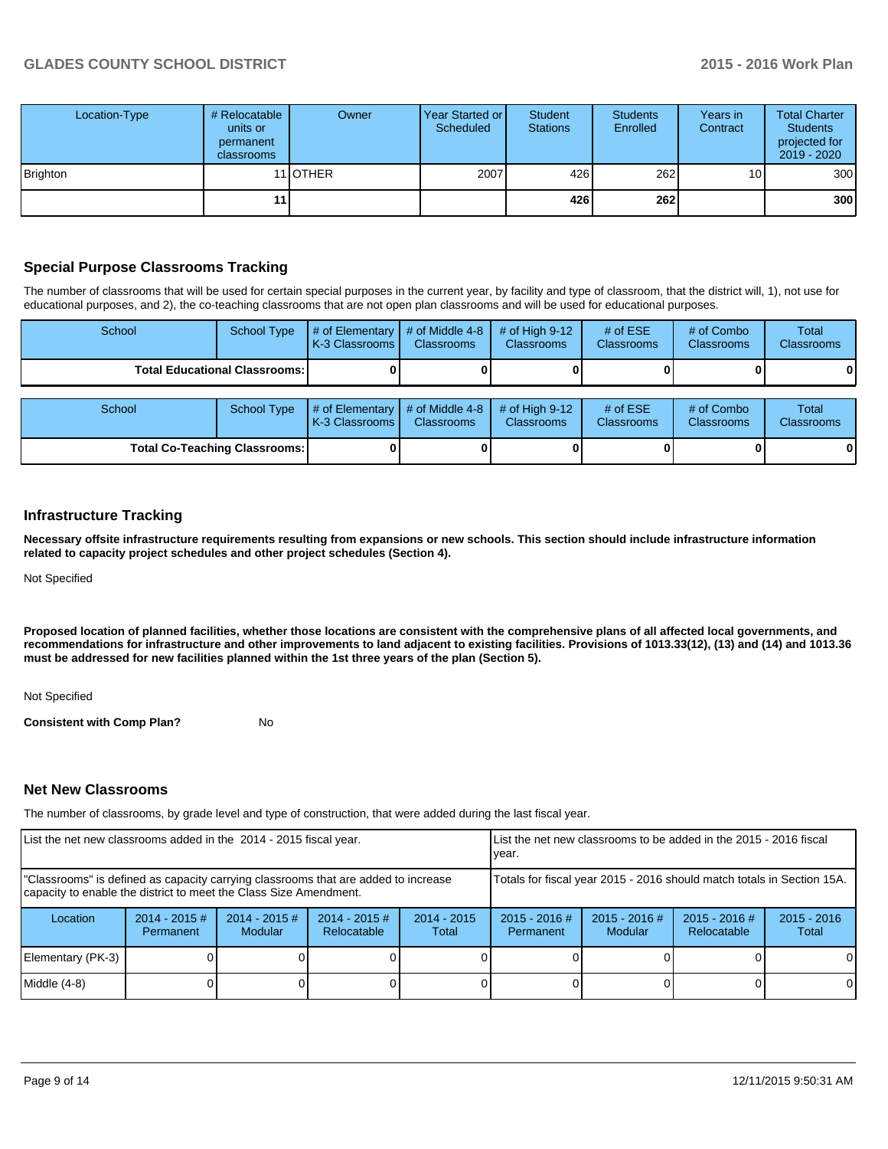| Location-Type   | # Relocatable<br>units or<br>permanent<br><b>classrooms</b> | Owner            | Year Started or<br>Scheduled | Student<br><b>Stations</b> | <b>Students</b><br>Enrolled | Years in<br>Contract | <b>Total Charter</b><br><b>Students</b><br>projected for<br>2019 - 2020 |
|-----------------|-------------------------------------------------------------|------------------|------------------------------|----------------------------|-----------------------------|----------------------|-------------------------------------------------------------------------|
| <b>Brighton</b> |                                                             | 11 <b>IOTHER</b> | 2007                         | 426                        | 262                         | 10 <sub>1</sub>      | 300                                                                     |
|                 | 11                                                          |                  |                              | 426                        | <b>262</b>                  |                      | 300                                                                     |

## **Special Purpose Classrooms Tracking**

The number of classrooms that will be used for certain special purposes in the current year, by facility and type of classroom, that the district will, 1), not use for educational purposes, and 2), the co-teaching classrooms that are not open plan classrooms and will be used for educational purposes.

| School                                 | School Type        | $\#$ of Elementary $\#$ of Middle 4-8 $\ $<br>K-3 Classrooms I   | <b>Classrooms</b> | # of High $9-12$<br><b>Classrooms</b> | # of $ESE$<br><b>Classrooms</b> | # of Combo<br><b>Classrooms</b> | Total<br><b>Classrooms</b> |
|----------------------------------------|--------------------|------------------------------------------------------------------|-------------------|---------------------------------------|---------------------------------|---------------------------------|----------------------------|
| <b>Total Educational Classrooms: I</b> |                    |                                                                  |                   |                                       |                                 |                                 | 01                         |
|                                        |                    |                                                                  |                   |                                       |                                 |                                 |                            |
| School                                 | <b>School Type</b> | $\#$ of Elementary $\#$ of Middle 4-8 $\#$<br>I K-3 Classrooms I | <b>Classrooms</b> | $#$ of High 9-12<br><b>Classrooms</b> | # of $ESE$<br><b>Classrooms</b> | # of Combo<br><b>Classrooms</b> | Total<br><b>Classrooms</b> |

**Total Co-Teaching Classrooms: 0 0 0 0 0 0**

## **Infrastructure Tracking**

**Necessary offsite infrastructure requirements resulting from expansions or new schools. This section should include infrastructure information related to capacity project schedules and other project schedules (Section 4).**

Not Specified

**Proposed location of planned facilities, whether those locations are consistent with the comprehensive plans of all affected local governments, and recommendations for infrastructure and other improvements to land adjacent to existing facilities. Provisions of 1013.33(12), (13) and (14) and 1013.36 must be addressed for new facilities planned within the 1st three years of the plan (Section 5).**

Not Specified

**Consistent with Comp Plan?** No

## **Net New Classrooms**

The number of classrooms, by grade level and type of construction, that were added during the last fiscal year.

| List the net new classrooms added in the 2014 - 2015 fiscal year.                                                                                       |                                                                        |                            | Llist the net new classrooms to be added in the 2015 - 2016 fiscal<br>Ivear. |                        |                              |                                   |                                |                        |
|---------------------------------------------------------------------------------------------------------------------------------------------------------|------------------------------------------------------------------------|----------------------------|------------------------------------------------------------------------------|------------------------|------------------------------|-----------------------------------|--------------------------------|------------------------|
| "Classrooms" is defined as capacity carrying classrooms that are added to increase<br>capacity to enable the district to meet the Class Size Amendment. | Totals for fiscal year 2015 - 2016 should match totals in Section 15A. |                            |                                                                              |                        |                              |                                   |                                |                        |
| Location                                                                                                                                                | $2014 - 2015$ #<br>Permanent                                           | $2014 - 2015$ #<br>Modular | $2014 - 2015$ #<br>Relocatable                                               | $2014 - 2015$<br>Total | $2015 - 2016$ #<br>Permanent | $2015 - 2016$ #<br><b>Modular</b> | $2015 - 2016$ #<br>Relocatable | $2015 - 2016$<br>Total |
| Elementary (PK-3)                                                                                                                                       |                                                                        |                            |                                                                              |                        |                              |                                   |                                | $\Omega$               |
| $Middle (4-8)$                                                                                                                                          |                                                                        |                            |                                                                              |                        |                              |                                   |                                | 0                      |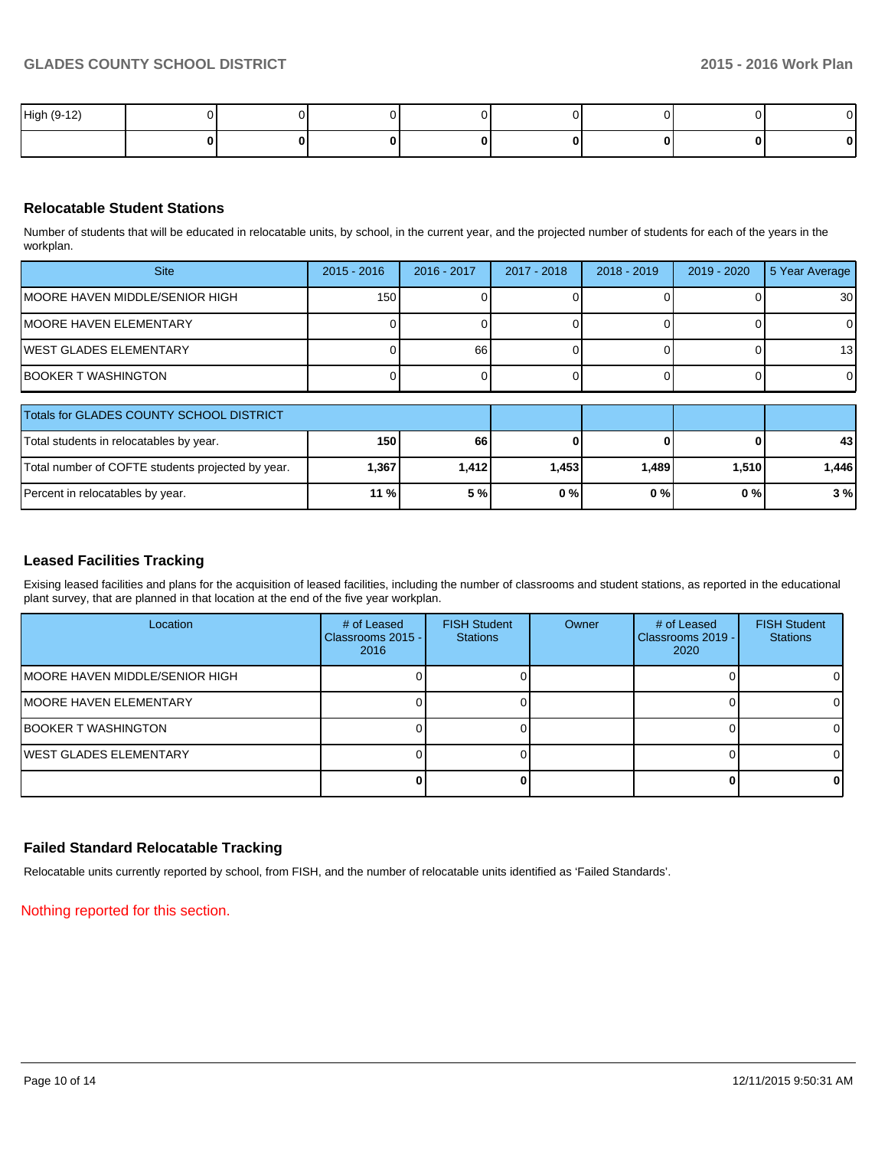| High (9-12) |  |  |  |   |
|-------------|--|--|--|---|
|             |  |  |  | U |

## **Relocatable Student Stations**

Number of students that will be educated in relocatable units, by school, in the current year, and the projected number of students for each of the years in the workplan.

| <b>Site</b>                     | $2015 - 2016$    | 2016 - 2017 | 2017 - 2018 | $2018 - 2019$ | 2019 - 2020 | 5 Year Average  |
|---------------------------------|------------------|-------------|-------------|---------------|-------------|-----------------|
| IMOORE HAVEN MIDDLE/SENIOR HIGH | 150 <sub>1</sub> |             |             |               |             | 30 <sup>1</sup> |
| IMOORE HAVEN ELEMENTARY         |                  |             |             |               |             | $\Omega$        |
| IWEST GLADES ELEMENTARY         |                  | 66          |             |               |             | 13              |
| IBOOKER T WASHINGTON            |                  |             |             |               |             | $\Omega$        |

| Totals for GLADES COUNTY SCHOOL DISTRICT          |            |         |       |       |       |                 |
|---------------------------------------------------|------------|---------|-------|-------|-------|-----------------|
| Total students in relocatables by year.           | <b>150</b> | 66      |       |       |       | 43 <sub>l</sub> |
| Total number of COFTE students projected by year. | 1,367      | 1.412 l | 1.453 | 1.489 | 1.510 | 1.446           |
| Percent in relocatables by year.                  | $11\%$     | 5 %     | 0%    | 0 % I | 0%    | 3%              |

## **Leased Facilities Tracking**

Exising leased facilities and plans for the acquisition of leased facilities, including the number of classrooms and student stations, as reported in the educational plant survey, that are planned in that location at the end of the five year workplan.

| Location                               | # of Leased<br>Classrooms 2015 - I<br>2016 | <b>FISH Student</b><br><b>Stations</b> | Owner | # of Leased<br>Classrooms 2019 -<br>2020 | <b>FISH Student</b><br><b>Stations</b> |
|----------------------------------------|--------------------------------------------|----------------------------------------|-------|------------------------------------------|----------------------------------------|
| <b>IMOORE HAVEN MIDDLE/SENIOR HIGH</b> |                                            |                                        |       |                                          |                                        |
| <b>IMOORE HAVEN ELEMENTARY</b>         |                                            |                                        |       |                                          | ΩI                                     |
| <b>BOOKER T WASHINGTON</b>             |                                            |                                        |       |                                          | ΩI                                     |
| <b>IWEST GLADES ELEMENTARY</b>         |                                            |                                        |       |                                          |                                        |
|                                        |                                            |                                        |       |                                          | 01                                     |

## **Failed Standard Relocatable Tracking**

Relocatable units currently reported by school, from FISH, and the number of relocatable units identified as 'Failed Standards'.

Nothing reported for this section.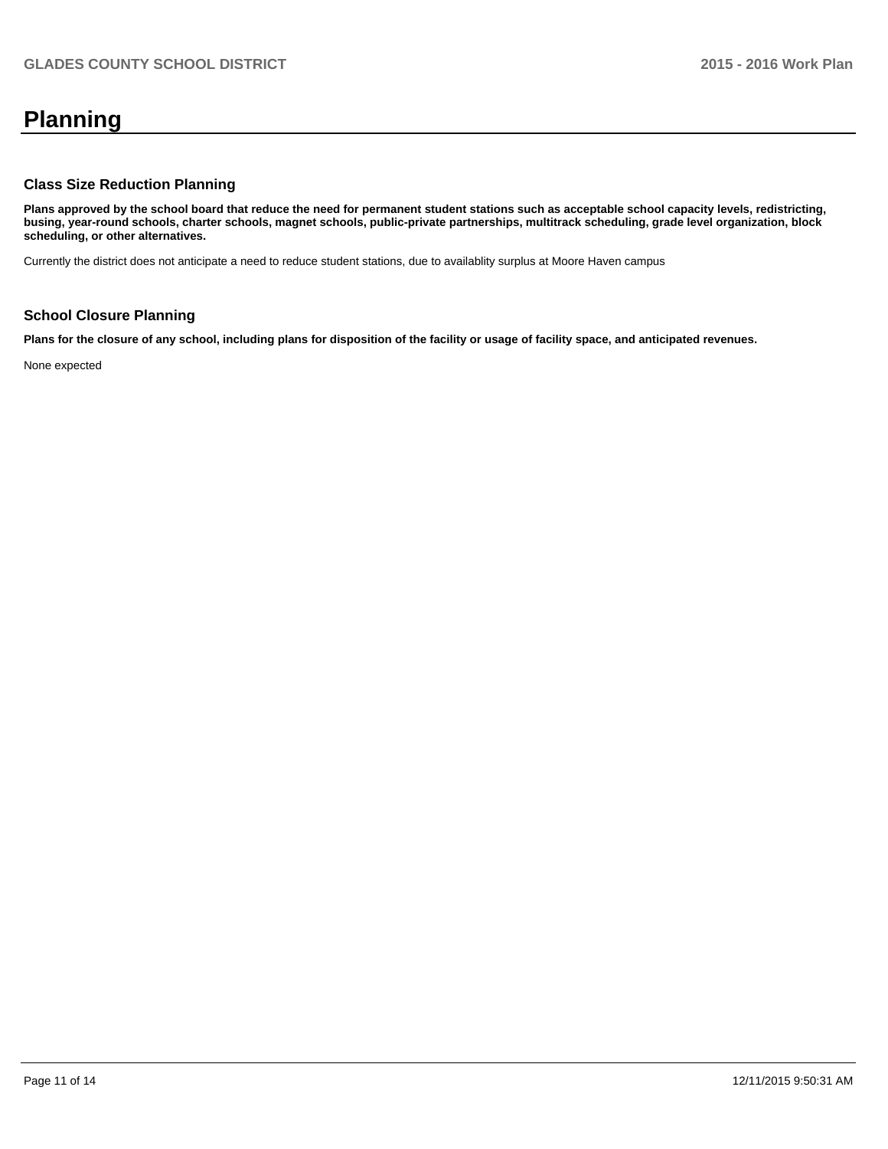# **Planning**

## **Class Size Reduction Planning**

**Plans approved by the school board that reduce the need for permanent student stations such as acceptable school capacity levels, redistricting, busing, year-round schools, charter schools, magnet schools, public-private partnerships, multitrack scheduling, grade level organization, block scheduling, or other alternatives.**

Currently the district does not anticipate a need to reduce student stations, due to availablity surplus at Moore Haven campus

## **School Closure Planning**

**Plans for the closure of any school, including plans for disposition of the facility or usage of facility space, and anticipated revenues.**

None expected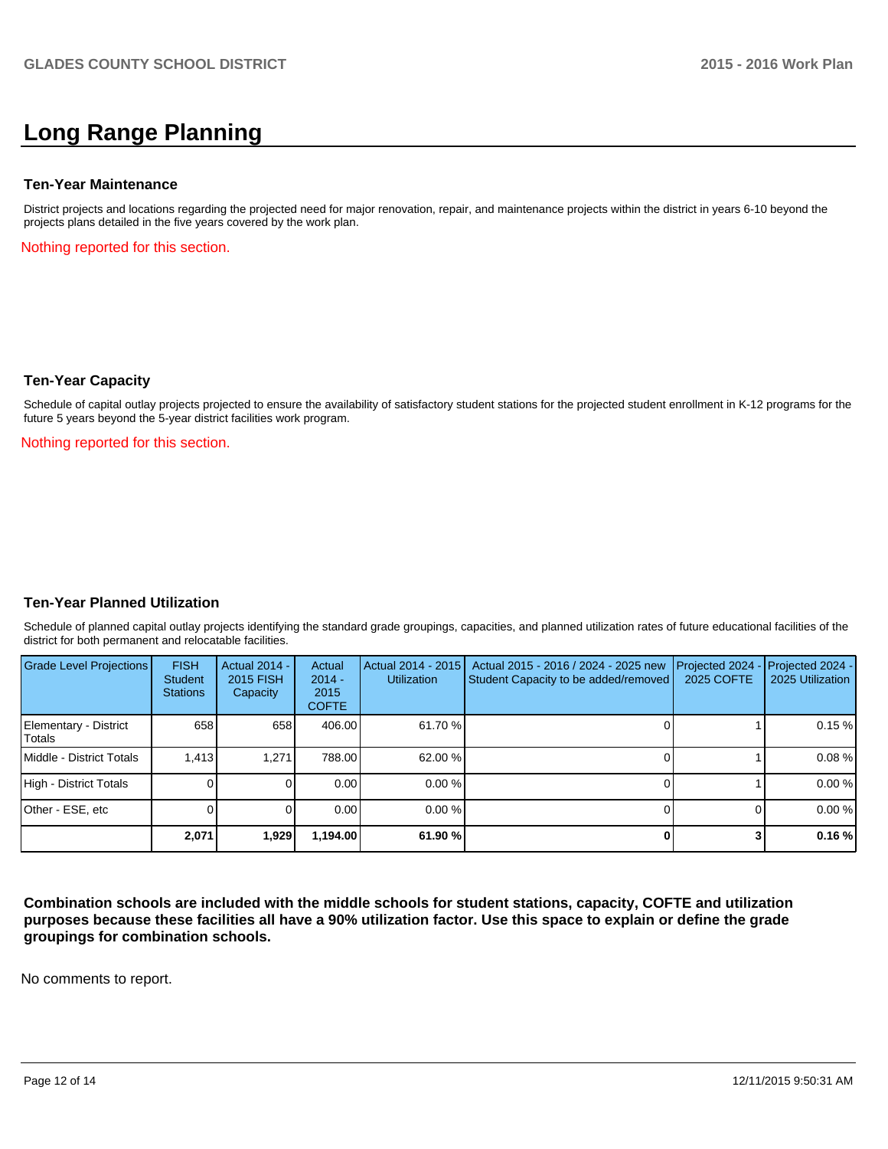## **Long Range Planning**

#### **Ten-Year Maintenance**

District projects and locations regarding the projected need for major renovation, repair, and maintenance projects within the district in years 6-10 beyond the projects plans detailed in the five years covered by the work plan.

Nothing reported for this section.

## **Ten-Year Capacity**

Schedule of capital outlay projects projected to ensure the availability of satisfactory student stations for the projected student enrollment in K-12 programs for the future 5 years beyond the 5-year district facilities work program.

Nothing reported for this section.

## **Ten-Year Planned Utilization**

Schedule of planned capital outlay projects identifying the standard grade groupings, capacities, and planned utilization rates of future educational facilities of the district for both permanent and relocatable facilities.

| Grade Level Projections         | <b>FISH</b><br>Student<br><b>Stations</b> | <b>Actual 2014 -</b><br>2015 FISH<br>Capacity | Actual<br>$2014 -$<br>2015<br><b>COFTE</b> | Actual 2014 - 2015<br><b>Utilization</b> | Actual 2015 - 2016 / 2024 - 2025 new<br>Student Capacity to be added/removed | Projected 2024<br>2025 COFTE | $-$ Projected 2024 -<br>2025 Utilization |
|---------------------------------|-------------------------------------------|-----------------------------------------------|--------------------------------------------|------------------------------------------|------------------------------------------------------------------------------|------------------------------|------------------------------------------|
| Elementary - District<br>Totals | 658                                       | 658                                           | 406.00                                     | 61.70 %                                  |                                                                              |                              | 0.15%                                    |
| Middle - District Totals        | 1.413                                     | 1.271                                         | 788.00                                     | 62.00%                                   |                                                                              |                              | 0.08%                                    |
| High - District Totals          |                                           |                                               | 0.00                                       | $0.00\%$                                 |                                                                              |                              | 0.00%                                    |
| Other - ESE, etc                |                                           |                                               | 0.00                                       | $0.00\%$                                 |                                                                              |                              | 0.00%                                    |
|                                 | 2,071                                     | 1,929                                         | 1,194.00                                   | 61.90%                                   |                                                                              |                              | 0.16%                                    |

**Combination schools are included with the middle schools for student stations, capacity, COFTE and utilization purposes because these facilities all have a 90% utilization factor. Use this space to explain or define the grade groupings for combination schools.**

No comments to report.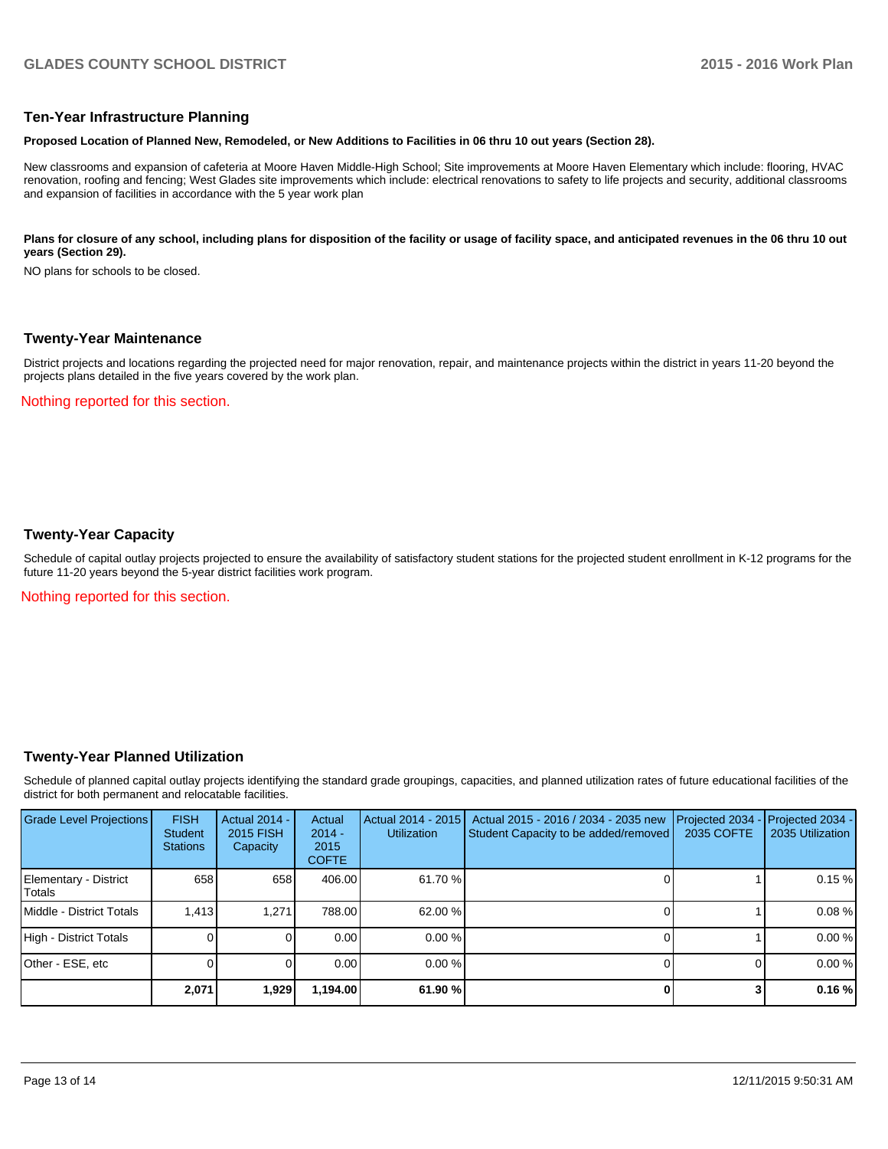## **Ten-Year Infrastructure Planning**

#### **Proposed Location of Planned New, Remodeled, or New Additions to Facilities in 06 thru 10 out years (Section 28).**

New classrooms and expansion of cafeteria at Moore Haven Middle-High School; Site improvements at Moore Haven Elementary which include: flooring, HVAC renovation, roofing and fencing; West Glades site improvements which include: electrical renovations to safety to life projects and security, additional classrooms and expansion of facilities in accordance with the 5 year work plan

#### Plans for closure of any school, including plans for disposition of the facility or usage of facility space, and anticipated revenues in the 06 thru 10 out **years (Section 29).**

NO plans for schools to be closed.

#### **Twenty-Year Maintenance**

District projects and locations regarding the projected need for major renovation, repair, and maintenance projects within the district in years 11-20 beyond the projects plans detailed in the five years covered by the work plan.

Nothing reported for this section.

## **Twenty-Year Capacity**

Schedule of capital outlay projects projected to ensure the availability of satisfactory student stations for the projected student enrollment in K-12 programs for the future 11-20 years beyond the 5-year district facilities work program.

Nothing reported for this section.

## **Twenty-Year Planned Utilization**

Schedule of planned capital outlay projects identifying the standard grade groupings, capacities, and planned utilization rates of future educational facilities of the district for both permanent and relocatable facilities.

| <b>Grade Level Projections</b>         | <b>FISH</b><br><b>Student</b><br><b>Stations</b> | <b>Actual 2014 -</b><br>2015 FISH<br>Capacity | Actual<br>$2014 -$<br>2015<br><b>COFTE</b> | Actual 2014 - 2015<br><b>Utilization</b> | Actual 2015 - 2016 / 2034 - 2035 new<br>Student Capacity to be added/removed | Projected 2034<br>2035 COFTE | Projected 2034 -<br>2035 Utilization |
|----------------------------------------|--------------------------------------------------|-----------------------------------------------|--------------------------------------------|------------------------------------------|------------------------------------------------------------------------------|------------------------------|--------------------------------------|
| Elementary - District<br><b>Totals</b> | 658                                              | 658                                           | 406.00                                     | 61.70 %                                  |                                                                              |                              | 0.15%                                |
| Middle - District Totals               | 1.413                                            | 1.271                                         | 788.00                                     | 62.00 %                                  |                                                                              |                              | 0.08%                                |
| High - District Totals                 |                                                  |                                               | 0.00                                       | 0.00%                                    |                                                                              |                              | 0.00%                                |
| Other - ESE, etc                       |                                                  |                                               | 0.00                                       | 0.00%                                    |                                                                              |                              | 0.00%                                |
|                                        | 2,071                                            | 1,929                                         | 1,194.00                                   | 61.90%                                   |                                                                              |                              | 0.16%                                |